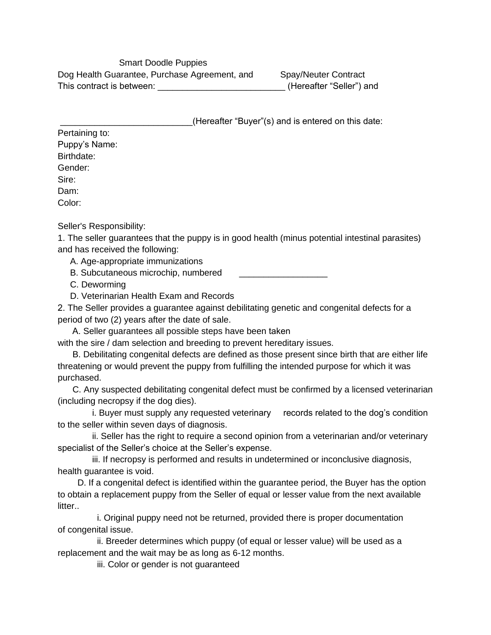Smart Doodle Puppies Dog Health Guarantee, Purchase Agreement, and Spay/Neuter Contract This contract is between: This contract is between:  $(Herieafter "Seller")$  and

(Hereafter "Buyer"(s) and is entered on this date:

Pertaining to: Puppy's Name: Birthdate: Gender: Sire: Dam: Color:

Seller's Responsibility:

1. The seller guarantees that the puppy is in good health (minus potential intestinal parasites) and has received the following:

A. Age-appropriate immunizations

B. Subcutaneous microchip, numbered

C. Deworming

D. Veterinarian Health Exam and Records

2. The Seller provides a guarantee against debilitating genetic and congenital defects for a period of two (2) years after the date of sale.

A. Seller guarantees all possible steps have been taken

with the sire / dam selection and breeding to prevent hereditary issues.

B. Debilitating congenital defects are defined as those present since birth that are either life threatening or would prevent the puppy from fulfilling the intended purpose for which it was purchased.

C. Any suspected debilitating congenital defect must be confirmed by a licensed veterinarian (including necropsy if the dog dies).

i. Buyer must supply any requested veterinary records related to the dog's condition to the seller within seven days of diagnosis.

ii. Seller has the right to require a second opinion from a veterinarian and/or veterinary specialist of the Seller's choice at the Seller's expense.

iii. If necropsy is performed and results in undetermined or inconclusive diagnosis, health guarantee is void.

D. If a congenital defect is identified within the guarantee period, the Buyer has the option to obtain a replacement puppy from the Seller of equal or lesser value from the next available litter...

i. Original puppy need not be returned, provided there is proper documentation of congenital issue.

ii. Breeder determines which puppy (of equal or lesser value) will be used as a replacement and the wait may be as long as 6-12 months.

iii. Color or gender is not guaranteed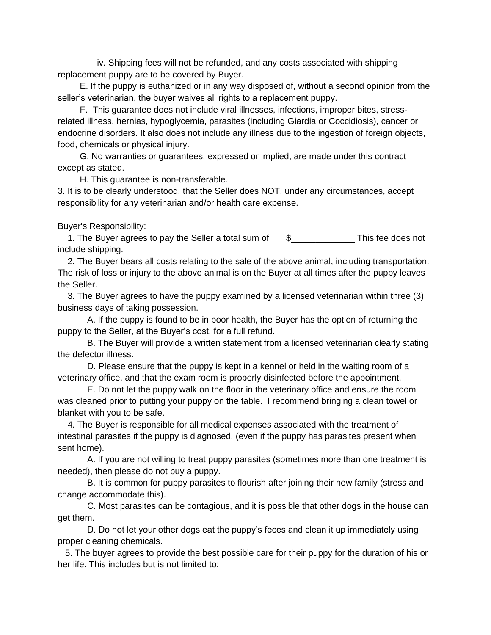iv. Shipping fees will not be refunded, and any costs associated with shipping replacement puppy are to be covered by Buyer.

E. If the puppy is euthanized or in any way disposed of, without a second opinion from the seller's veterinarian, the buyer waives all rights to a replacement puppy.

F. This guarantee does not include viral illnesses, infections, improper bites, stressrelated illness, hernias, hypoglycemia, parasites (including Giardia or Coccidiosis), cancer or endocrine disorders. It also does not include any illness due to the ingestion of foreign objects, food, chemicals or physical injury.

G. No warranties or guarantees, expressed or implied, are made under this contract except as stated.

H. This guarantee is non-transferable.

3. It is to be clearly understood, that the Seller does NOT, under any circumstances, accept responsibility for any veterinarian and/or health care expense.

Buyer's Responsibility:

1. The Buyer agrees to pay the Seller a total sum of  $$$  \$ include shipping.

2. The Buyer bears all costs relating to the sale of the above animal, including transportation. The risk of loss or injury to the above animal is on the Buyer at all times after the puppy leaves the Seller.

3. The Buyer agrees to have the puppy examined by a licensed veterinarian within three (3) business days of taking possession.

A. If the puppy is found to be in poor health, the Buyer has the option of returning the puppy to the Seller, at the Buyer's cost, for a full refund.

B. The Buyer will provide a written statement from a licensed veterinarian clearly stating the defector illness.

D. Please ensure that the puppy is kept in a kennel or held in the waiting room of a veterinary office, and that the exam room is properly disinfected before the appointment.

E. Do not let the puppy walk on the floor in the veterinary office and ensure the room was cleaned prior to putting your puppy on the table. I recommend bringing a clean towel or blanket with you to be safe.

4. The Buyer is responsible for all medical expenses associated with the treatment of intestinal parasites if the puppy is diagnosed, (even if the puppy has parasites present when sent home).

A. If you are not willing to treat puppy parasites (sometimes more than one treatment is needed), then please do not buy a puppy.

B. It is common for puppy parasites to flourish after joining their new family (stress and change accommodate this).

C. Most parasites can be contagious, and it is possible that other dogs in the house can get them.

D. Do not let your other dogs eat the puppy's feces and clean it up immediately using proper cleaning chemicals.

5. The buyer agrees to provide the best possible care for their puppy for the duration of his or her life. This includes but is not limited to: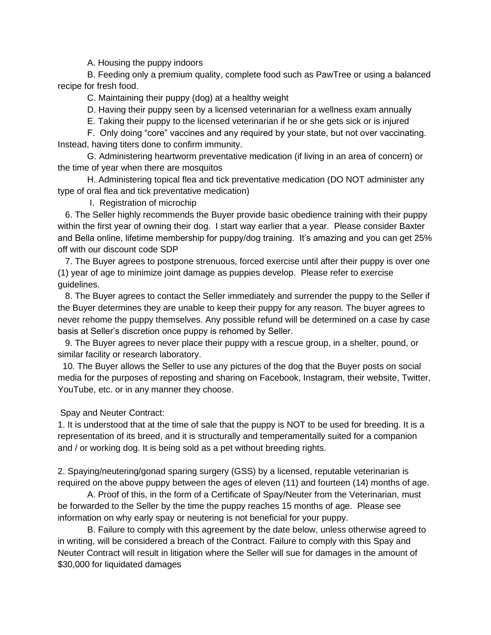A. Housing the puppy indoors

B. Feeding only a premium quality, complete food such as PawTree or using a balanced recipe for fresh food.

C. Maintaining their puppy (dog) at a healthy weight

D. Having their puppy seen by a licensed veterinarian for a wellness exam annually

E. Taking their puppy to the licensed veterinarian if he or she gets sick or is injured

F. Only doing "core" vaccines and any required by your state, but not over vaccinating. Instead, having titers done to confirm immunity.

G. Administering heartworm preventative medication (if living in an area of concern) or the time of year when there are mosquitos

H. Administering topical flea and tick preventative medication (DO NOT administer any type of oral flea and tick preventative medication)

I. Registration of microchip

6. The Seller highly recommends the Buyer provide basic obedience training with their puppy within the first year of owning their dog. I start way earlier that a year. Please consider Baxter and Bella online, lifetime membership for puppy/dog training. It's amazing and you can get 25% off with our discount code SDP

7. The Buyer agrees to postpone strenuous, forced exercise until after their puppy is over one (1) year of age to minimize joint damage as puppies develop. Please refer to exercise guidelines.

8. The Buyer agrees to contact the Seller immediately and surrender the puppy to the Seller if the Buyer determines they are unable to keep their puppy for any reason. The buyer agrees to never rehome the puppy themselves. Any possible refund will be determined on a case by case basis at Seller's discretion once puppy is rehomed by Seller.

9. The Buyer agrees to never place their puppy with a rescue group, in a shelter, pound, or similar facility or research laboratory.

10. The Buyer allows the Seller to use any pictures of the dog that the Buyer posts on social media for the purposes of reposting and sharing on Facebook, Instagram, their website, Twitter, YouTube, etc. or in any manner they choose.

Spay and Neuter Contract:

1. It is understood that at the time of sale that the puppy is NOT to be used for breeding. It is a representation of its breed, and it is structurally and temperamentally suited for a companion and / or working dog. It is being sold as a pet without breeding rights.

2. Spaying/neutering/gonad sparing surgery (GSS) by a licensed, reputable veterinarian is required on the above puppy between the ages of eleven (11) and fourteen (14) months of age.

A. Proof of this, in the form of a Certificate of Spay/Neuter from the Veterinarian, must be forwarded to the Seller by the time the puppy reaches 15 months of age. Please see information on why early spay or neutering is not beneficial for your puppy.

B. Failure to comply with this agreement by the date below, unless otherwise agreed to in writing, will be considered a breach of the Contract. Failure to comply with this Spay and Neuter Contract will result in litigation where the Seller will sue for damages in the amount of \$30,000 for liquidated damages